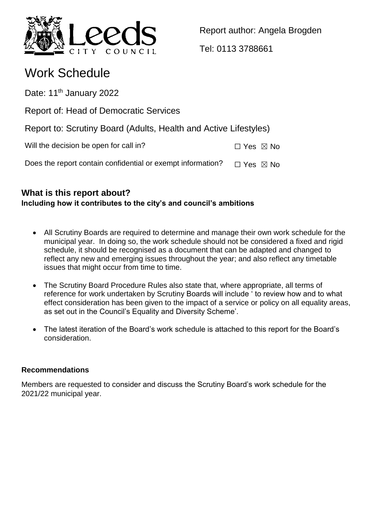

Report author: Angela Brogden

Tel: 0113 3788661

# Work Schedule

Date: 11<sup>th</sup> January 2022

Report of: Head of Democratic Services

Report to: Scrutiny Board (Adults, Health and Active Lifestyles)

Will the decision be open for call in?  $\square$  Yes  $\boxtimes$  No

Does the report contain confidential or exempt information?  $\Box$  Yes  $\boxtimes$  No

# **What is this report about? Including how it contributes to the city's and council's ambitions**

- All Scrutiny Boards are required to determine and manage their own work schedule for the municipal year. In doing so, the work schedule should not be considered a fixed and rigid schedule, it should be recognised as a document that can be adapted and changed to reflect any new and emerging issues throughout the year; and also reflect any timetable issues that might occur from time to time.
- The Scrutiny Board Procedure Rules also state that, where appropriate, all terms of reference for work undertaken by Scrutiny Boards will include ' to review how and to what effect consideration has been given to the impact of a service or policy on all equality areas, as set out in the Council's Equality and Diversity Scheme'.
- The latest iteration of the Board's work schedule is attached to this report for the Board's consideration.

# **Recommendations**

Members are requested to consider and discuss the Scrutiny Board's work schedule for the 2021/22 municipal year.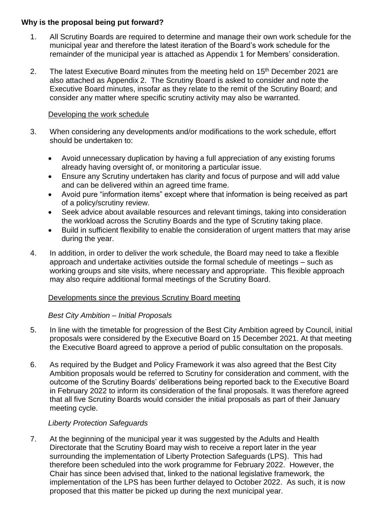#### **Why is the proposal being put forward?**

- 1. All Scrutiny Boards are required to determine and manage their own work schedule for the municipal year and therefore the latest iteration of the Board's work schedule for the remainder of the municipal year is attached as Appendix 1 for Members' consideration.
- 2. The latest Executive Board minutes from the meeting held on 15<sup>th</sup> December 2021 are also attached as Appendix 2. The Scrutiny Board is asked to consider and note the Executive Board minutes, insofar as they relate to the remit of the Scrutiny Board; and consider any matter where specific scrutiny activity may also be warranted.

#### Developing the work schedule

- 3. When considering any developments and/or modifications to the work schedule, effort should be undertaken to:
	- Avoid unnecessary duplication by having a full appreciation of any existing forums already having oversight of, or monitoring a particular issue.
	- Ensure any Scrutiny undertaken has clarity and focus of purpose and will add value and can be delivered within an agreed time frame.
	- Avoid pure "information items" except where that information is being received as part of a policy/scrutiny review.
	- Seek advice about available resources and relevant timings, taking into consideration the workload across the Scrutiny Boards and the type of Scrutiny taking place.
	- Build in sufficient flexibility to enable the consideration of urgent matters that may arise during the year.
- 4. In addition, in order to deliver the work schedule, the Board may need to take a flexible approach and undertake activities outside the formal schedule of meetings – such as working groups and site visits, where necessary and appropriate. This flexible approach may also require additional formal meetings of the Scrutiny Board.

#### Developments since the previous Scrutiny Board meeting

#### *Best City Ambition – Initial Proposals*

- 5. In line with the timetable for progression of the Best City Ambition agreed by Council, initial proposals were considered by the Executive Board on 15 December 2021. At that meeting the Executive Board agreed to approve a period of public consultation on the proposals.
- 6. As required by the Budget and Policy Framework it was also agreed that the Best City Ambition proposals would be referred to Scrutiny for consideration and comment, with the outcome of the Scrutiny Boards' deliberations being reported back to the Executive Board in February 2022 to inform its consideration of the final proposals. It was therefore agreed that all five Scrutiny Boards would consider the initial proposals as part of their January meeting cycle.

#### *Liberty Protection Safeguards*

7. At the beginning of the municipal year it was suggested by the Adults and Health Directorate that the Scrutiny Board may wish to receive a report later in the year surrounding the implementation of Liberty Protection Safeguards (LPS). This had therefore been scheduled into the work programme for February 2022. However, the Chair has since been advised that, linked to the national legislative framework, the implementation of the LPS has been further delayed to October 2022. As such, it is now proposed that this matter be picked up during the next municipal year.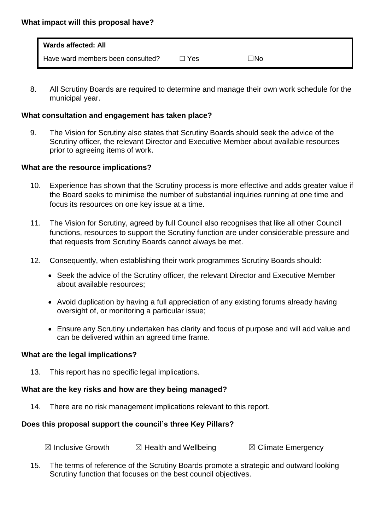| <b>Wards affected: All</b>        |     |     |
|-----------------------------------|-----|-----|
| Have ward members been consulted? | Yes | ⊐No |

8. All Scrutiny Boards are required to determine and manage their own work schedule for the municipal year.

# **What consultation and engagement has taken place?**

9. The Vision for Scrutiny also states that Scrutiny Boards should seek the advice of the Scrutiny officer, the relevant Director and Executive Member about available resources prior to agreeing items of work.

# **What are the resource implications?**

- 10. Experience has shown that the Scrutiny process is more effective and adds greater value if the Board seeks to minimise the number of substantial inquiries running at one time and focus its resources on one key issue at a time.
- 11. The Vision for Scrutiny, agreed by full Council also recognises that like all other Council functions, resources to support the Scrutiny function are under considerable pressure and that requests from Scrutiny Boards cannot always be met.
- 12. Consequently, when establishing their work programmes Scrutiny Boards should:
	- Seek the advice of the Scrutiny officer, the relevant Director and Executive Member about available resources;
	- Avoid duplication by having a full appreciation of any existing forums already having oversight of, or monitoring a particular issue;
	- Ensure any Scrutiny undertaken has clarity and focus of purpose and will add value and can be delivered within an agreed time frame.

#### **What are the legal implications?**

13. This report has no specific legal implications.

# **What are the key risks and how are they being managed?**

14. There are no risk management implications relevant to this report.

# **Does this proposal support the council's three Key Pillars?**

| $\boxtimes$ Climate Emergency |
|-------------------------------|
|                               |

15. The terms of reference of the Scrutiny Boards promote a strategic and outward looking Scrutiny function that focuses on the best council objectives.